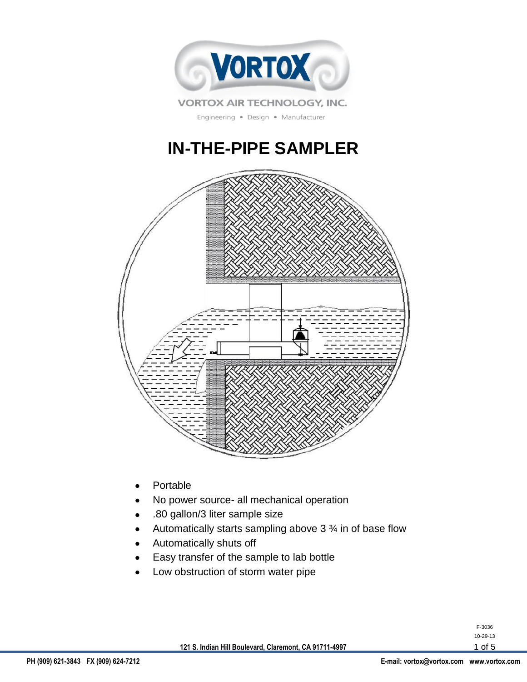

Engineering · Design · Manufacturer

# **IN-THE-PIPE SAMPLER**



- Portable
- No power source- all mechanical operation
- .80 gallon/3 liter sample size  $\bullet$
- Automatically starts sampling above 3 ¾ in of base flow
- Automatically shuts off
- Easy transfer of the sample to lab bottle
- Low obstruction of storm water pipe

| F-3036   |        |  |
|----------|--------|--|
| 10-29-13 |        |  |
|          | 1 of 5 |  |

**121 S. Indian Hill Boulevard, Claremont, CA 91711-4997**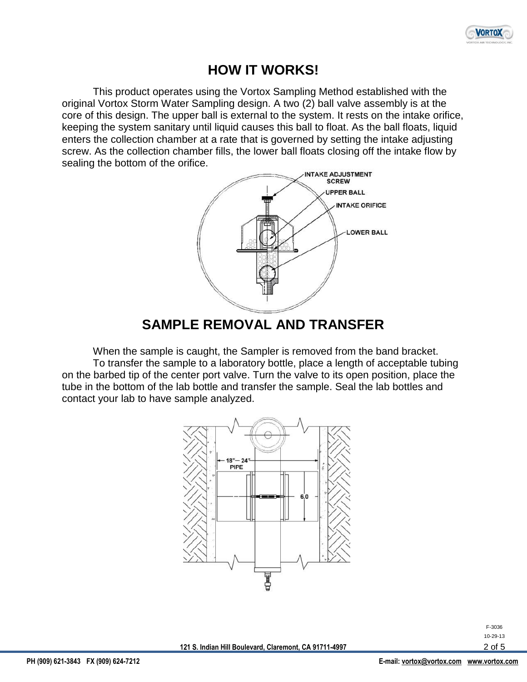

#### **HOW IT WORKS!**

This product operates using the Vortox Sampling Method established with the original Vortox Storm Water Sampling design. A two (2) ball valve assembly is at the core of this design. The upper ball is external to the system. It rests on the intake orifice, keeping the system sanitary until liquid causes this ball to float. As the ball floats, liquid enters the collection chamber at a rate that is governed by setting the intake adjusting screw. As the collection chamber fills, the lower ball floats closing off the intake flow by sealing the bottom of the orifice.



#### **SAMPLE REMOVAL AND TRANSFER**

When the sample is caught, the Sampler is removed from the band bracket.

To transfer the sample to a laboratory bottle, place a length of acceptable tubing on the barbed tip of the center port valve. Turn the valve to its open position, place the tube in the bottom of the lab bottle and transfer the sample. Seal the lab bottles and contact your lab to have sample analyzed.



F-3036 10-29-13 2 of 5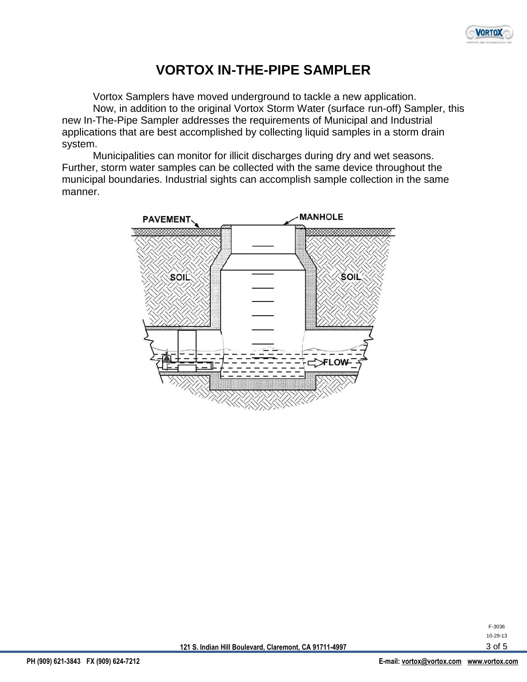

### **VORTOX IN-THE-PIPE SAMPLER**

Vortox Samplers have moved underground to tackle a new application. Now, in addition to the original Vortox Storm Water (surface run-off) Sampler, this new In-The-Pipe Sampler addresses the requirements of Municipal and Industrial applications that are best accomplished by collecting liquid samples in a storm drain system.

Municipalities can monitor for illicit discharges during dry and wet seasons. Further, storm water samples can be collected with the same device throughout the municipal boundaries. Industrial sights can accomplish sample collection in the same manner.



F-3036 10-29-13 3 of 5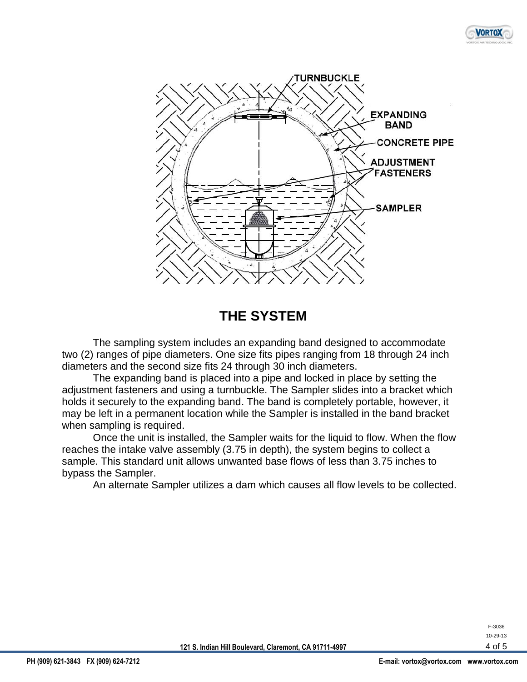



**THE SYSTEM**

The sampling system includes an expanding band designed to accommodate two (2) ranges of pipe diameters. One size fits pipes ranging from 18 through 24 inch diameters and the second size fits 24 through 30 inch diameters.

The expanding band is placed into a pipe and locked in place by setting the adjustment fasteners and using a turnbuckle. The Sampler slides into a bracket which holds it securely to the expanding band. The band is completely portable, however, it may be left in a permanent location while the Sampler is installed in the band bracket when sampling is required.

Once the unit is installed, the Sampler waits for the liquid to flow. When the flow reaches the intake valve assembly (3.75 in depth), the system begins to collect a sample. This standard unit allows unwanted base flows of less than 3.75 inches to bypass the Sampler.

An alternate Sampler utilizes a dam which causes all flow levels to be collected.

F-3036 10-29-13 4 of 5